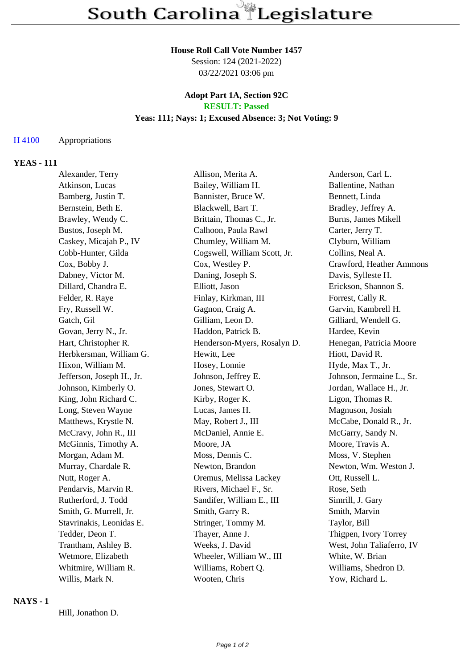#### **House Roll Call Vote Number 1457**

Session: 124 (2021-2022) 03/22/2021 03:06 pm

# **Adopt Part 1A, Section 92C RESULT: Passed**

## **Yeas: 111; Nays: 1; Excused Absence: 3; Not Voting: 9**

#### H 4100 Appropriations

#### **YEAS - 111**

| Alexander, Terry          | Allison, Merita A.           | Anderson, Carl L.         |
|---------------------------|------------------------------|---------------------------|
| Atkinson, Lucas           | Bailey, William H.           | Ballentine, Nathan        |
| Bamberg, Justin T.        | Bannister, Bruce W.          | Bennett, Linda            |
| Bernstein, Beth E.        | Blackwell, Bart T.           | Bradley, Jeffrey A.       |
| Brawley, Wendy C.         | Brittain, Thomas C., Jr.     | Burns, James Mikell       |
| Bustos, Joseph M.         | Calhoon, Paula Rawl          | Carter, Jerry T.          |
| Caskey, Micajah P., IV    | Chumley, William M.          | Clyburn, William          |
| Cobb-Hunter, Gilda        | Cogswell, William Scott, Jr. | Collins, Neal A.          |
| Cox, Bobby J.             | Cox, Westley P.              | Crawford, Heather Ammons  |
| Dabney, Victor M.         | Daning, Joseph S.            | Davis, Sylleste H.        |
| Dillard, Chandra E.       | Elliott, Jason               | Erickson, Shannon S.      |
| Felder, R. Raye           | Finlay, Kirkman, III         | Forrest, Cally R.         |
| Fry, Russell W.           | Gagnon, Craig A.             | Garvin, Kambrell H.       |
| Gatch, Gil                | Gilliam, Leon D.             | Gilliard, Wendell G.      |
| Govan, Jerry N., Jr.      | Haddon, Patrick B.           | Hardee, Kevin             |
| Hart, Christopher R.      | Henderson-Myers, Rosalyn D.  | Henegan, Patricia Moore   |
| Herbkersman, William G.   | Hewitt, Lee                  | Hiott, David R.           |
| Hixon, William M.         | Hosey, Lonnie                | Hyde, Max T., Jr.         |
| Jefferson, Joseph H., Jr. | Johnson, Jeffrey E.          | Johnson, Jermaine L., Sr. |
| Johnson, Kimberly O.      | Jones, Stewart O.            | Jordan, Wallace H., Jr.   |
| King, John Richard C.     | Kirby, Roger K.              | Ligon, Thomas R.          |
| Long, Steven Wayne        | Lucas, James H.              | Magnuson, Josiah          |
| Matthews, Krystle N.      | May, Robert J., III          | McCabe, Donald R., Jr.    |
| McCravy, John R., III     | McDaniel, Annie E.           | McGarry, Sandy N.         |
| McGinnis, Timothy A.      | Moore, JA                    | Moore, Travis A.          |
| Morgan, Adam M.           | Moss, Dennis C.              | Moss, V. Stephen          |
| Murray, Chardale R.       | Newton, Brandon              | Newton, Wm. Weston J.     |
| Nutt, Roger A.            | Oremus, Melissa Lackey       | Ott, Russell L.           |
| Pendarvis, Marvin R.      | Rivers, Michael F., Sr.      | Rose, Seth                |
| Rutherford, J. Todd       | Sandifer, William E., III    | Simrill, J. Gary          |
| Smith, G. Murrell, Jr.    | Smith, Garry R.              | Smith, Marvin             |
| Stavrinakis, Leonidas E.  | Stringer, Tommy M.           | Taylor, Bill              |
| Tedder, Deon T.           | Thayer, Anne J.              | Thigpen, Ivory Torrey     |
| Trantham, Ashley B.       | Weeks, J. David              | West, John Taliaferro, IV |
| Wetmore, Elizabeth        | Wheeler, William W., III     | White, W. Brian           |
| Whitmire, William R.      | Williams, Robert Q.          | Williams, Shedron D.      |
| Willis, Mark N.           | Wooten, Chris                | Yow, Richard L.           |

#### **NAYS - 1**

Hill, Jonathon D.